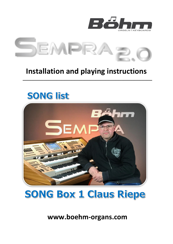



## **Installation and playing instructions**

**\_\_\_\_\_\_\_\_\_\_\_\_\_\_\_\_\_\_\_\_\_\_\_\_\_\_\_\_\_\_\_\_\_\_\_\_\_\_\_\_\_\_\_\_\_\_\_\_\_\_**

# **SONG list**





**www.boehm-organs.com**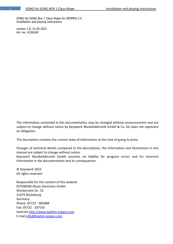SONG list SONG Box 1 Claus Riepe for SEMPRA 2.0 Installation and playing instructions

version 1.0, 31.05.2022 Art.-no. 42362AE

The information contained in this documentation may be changed without announcement and are subject to change without notice by Keyswerk Musikelektronik GmbH & Co. KG does not represent an obligation.

The description contains the current state of information at the time of going to press.

Changes of technical details compared to the descriptions, the information and illustrations in this manual are subject to change without notice.

Keyswerk Musikelektronik GmbH assumes no liability for program errors and for incorrect information in the documentation and its consequences.

© Keyswerk 2022 All rights reserved

Responsible for the content of this website KEYSWERK Music Electronic GmbH Warbersche Str. 32 31675 Bückeburg Germany Phone: 05722 - 905088 Fax: 05722 - 287555 Internet [http://www.boehm-organs.com](http://www.boehm-organs.com/) E-mail [info@boehm-organs.com](mailto:info@boehm-organs.com)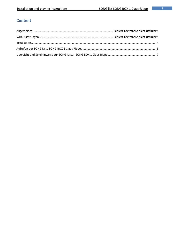## **Content**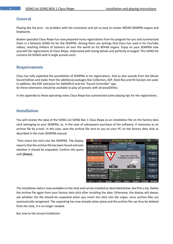#### **General**

Playing like the pros - no problem with the innovative and yet so easy to master BÖHM SEMPRA organs and keyboards.

Boehm specialist Claus Riepe has now prepared many registrations from his program for you and summarized them in a fantastic SONG list for the SEMPRA. Among them are settings that Claus has used in his YouTube videos, reaching millions of listeners all over the world on his BÖHM organs. Enjoy on your SEMPRA now yourself the registrations of Claus Riepe, elaborated with loving details and perfectly arranged. This SONG list contains 64 SONGS with 6 single presets each.

#### **Requirements**

Claus has fully exploited the possibilities of SEMPRA in his registrations. And so also sounds from the Movie Sound Edition and styles from the additional packages Star Collection, ASP, Style Box and Hit Session are used. In addition, the DSP extension for AMADEUS and the "Sound Controller" app. So these extensions should be available to play all presets with all possibilities.

In the appendix to these operating notes Claus Riepe has summarized some playing tips for the registrations.

#### <span id="page-3-0"></span>**Installation**

You will receive the data of the SONG List SONG Box 1 Claus Riepe as an installation file on the factory data stick belonging to your SEMPRA, or, in the case of subsequent purchase of the software, if necessary as an archive file by e-mail. In this case, save the archive file sent to you on your PC on the factory data stick as described in the main SEMPRA manual.

Then insert the stick into the SEMPRA. The display reports that the archive file has been found and asks whether it should be unpacked. Confirm the query with **[Enter]**.



The installation data is now available on the stick and can be installed as described below. But first a tip: Delete the archive file again from your factory data stick after installing the data. Otherwise, the display will always ask whether the file should be unpacked when you insert the stick into the organ, since archive files are automatically recognized. The unpacking has now already taken place and the archive file can thus be deleted from the stick, it is no longer needed.

But now to the actual installation: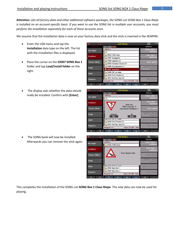*Attention: Like all factory data and other additional software packages, the SONG List SONG Box 1 Claus Riepe is installed on an account-specific basis. If you want to use the SONG list in multiple user accounts, you must perform the installation separately for each of these accounts once*.

We assume that the installation data is now on your factory data stick and the stick is inserted in the SEMPRA:

- Enter the USB menu and tap the **Installation** data type on the left. The list with the installation files is displayed.
- Place the cursor on the **59307 SONG Box 1** folder and tap **Load/Install folder** on the right.
- The display asks whether the data should really be installed. Confirm with **[Enter]**.





• The SONG bank will now be installed. Afterwards you can remove the stick again.

|                | ⊺≪<br>页       | USB-Medien                                                                 | 13:34<br>m                      |
|----------------|---------------|----------------------------------------------------------------------------|---------------------------------|
|                | Datei-Typ     | Syst. Work USB1                                                            | Aktionen                        |
|                | alle zeigen   | C:/INSTALL/                                                                | Ordner laden /                  |
|                |               | 59356 D-MiX-Rotor                                                          | <b>installieren</b>             |
|                | Installation  |                                                                            | Datei laden /<br>installieren   |
| Themen (Alben) |               | Einen Moment bitte                                                         | direkt spielen                  |
|                | Songs         |                                                                            | gewählten Dateityp<br>speichern |
|                | <b>Styles</b> | $\sqrt{2000}$ $\sqrt{2000}$ $\sqrt{200}$ $\sqrt{200}$<br>59395 Style-Box 1 | Medium formatieren              |
|                | Playbacks     | 59396 Style-Box 2<br>Dateigröße 0 B<br>Datum 25, 14, 2025<br>06:40         | Datei löschen                   |
|                | ⊻<br>《        | ᄎ<br>∀<br>à<br>⊻                                                           | $\ll=$<br>$\cdots$              |

This completes the installation of the SONG List **SONG Box 1 Claus Riepe**. The new data can now be used for playing.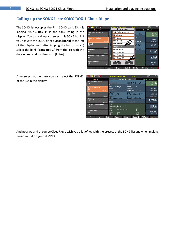### <span id="page-5-0"></span>**Calling up the SONG Liste SONG BOX 1 Claus Riepe**

The SONG list occupies the Firm SONG bank 23. It is labeled "**SONG Box 1**" in the bank listing in the display. You can call up and select this SONG bank if you activate the SONG filter button **[Bank]** to the left of the display and (after tapping the button again) select the bank "**Song Box 1**" from the list with the **data wheel** and confirm with **[Enter]**:

| $\ll$<br>竈<br>可                     | $CR \times$<br><b>«Rirds of Paradise</b> |                                 | 17:00<br>介介              |
|-------------------------------------|------------------------------------------|---------------------------------|--------------------------|
| Song-Box 1                          | Bitte wählen:                            |                                 | <b>Birds of Paradise</b> |
| So<br>Ave Maria No Morro            | VSP-Performance 2.0                      |                                 |                          |
| $\vert$ CR<br>Uo<br>Latein          | Style-Basics 5                           | <b>DX</b>                       | <b>INTRO</b><br>Plpe 1   |
| <b>Birds of Paradise</b>            | <b>BBO Sakral</b>                        | a                               | VERS <sub>1</sub>        |
| CR<br>Pop/Beat                      | <b>BBO</b> Toccata                       | mod.st                          | Classic Flute +          |
| LO.<br><b>Born Free</b>             | <b>BBO</b> Theater                       | <b>AC 3sFX</b>                  | VERS <sub>2</sub>        |
| ∣CR<br>Lo<br>Pop/Beat               | Song-Box 1                               |                                 | Classic Flute +          |
| S<br>Butterfly<br>Per               | DjR on Stage                             | d Synth                         | <b>REFRAIN</b>           |
| <b>CR</b><br>Tıl<br><b>Discotox</b> | Firm Songs 25                            |                                 | Classic Flute +          |
| Cherpie Cheep Cheep<br>St           | Firm Songs 26                            |                                 | <b>BRIDGE</b>            |
| S<br><b>CR</b><br>R&B               | Firm Songs 27                            | Takt                            | Classic Flute +          |
| 8<br>Cinema Organ                   | <b>Übernehmen</b><br>Abbrechen           |                                 | <b>FNDING</b>            |
| ∣ CR<br>T<br>Fox                    | Esc<br>Enter                             | Taktart<br>4/4                  | Pipe 1                   |
| Noten-<br>∀<br>à                    | Birds 1<br>Noten+                        | FX-Rotor<br>Glocke <sub>2</sub> | Rotor sl/fs              |

After selecting the bank you can select the SONGS of the list in the display:

| 《 三 篇 前 画                                     | «Birds of Paradise                             | $CR\gg$                                           | n 1<br>8C:dF                         |
|-----------------------------------------------|------------------------------------------------|---------------------------------------------------|--------------------------------------|
| Song-Box 1                                    | Arpeggio (€)<br><b>Parts</b>                   | Sideline $(\epsilon)$                             | <b>Birds of Paradise</b>             |
| Ave Maria No Morro<br>CR<br>Latein            | Solochord 1<br>No Sound<br>Upper left 1        | Solo 1<br>vr16-8-4-2<br>DX.<br>Upper right 1      | <b>INTRO</b><br>Pipe 1               |
| <b>Birds of Paradise</b><br>CR<br>Pop/Beat    | Spit Flute 1 dyn<br>Upper left 2<br>lo Sound   | Pipe 1<br>a<br>Upper right 2<br>Clear Pad mod.st  | VERS <sub>1</sub><br>Classic Flute + |
| <b>Born Free</b><br>CR<br>Pop/Beat            | Lower left 1<br>12-String Git.<br>Lower left 2 | Lower right 1<br>P-Syn 3 AC 3sFX<br>Lower right 2 | VERS <sub>2</sub><br>Classic Flute + |
| Butterfly<br>CR<br><b>Discofox</b>            | Str.NewAge ster.<br>Pedal 1<br>Trance          | Simplypad Synth<br>Pedal 2<br>No Sound            | <b>REFRAIN</b><br>Classic Flute +    |
| Cherpie Cheep Cheep<br>CR<br>R <sub>8</sub> B | Style<br>Swinging Beat - stcl2<br>Tempo<br>.   | Takt                                              | <b>BRIDGE</b><br>Classic Flute +     |
| Cinema Organ<br><b>CR</b><br>Fox              | 86<br>Akkord<br>Transp.<br>C<br>C              | Taktart<br>4/4                                    | <b>ENDING</b><br>Pipe 1              |
| է<br>à                                        | Noten-<br>Noten+                               | Glocke <sub>2</sub><br>Birds 1                    | FX-Rotor<br>Rotor sl/fs              |

And now we and of course Claus Riepe wish you a lot of joy with the presets of the SONG list and when making music with it on your SEMPRA!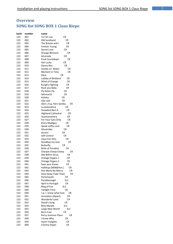## <span id="page-6-0"></span>**Overview SONG list SONG BOX 1 Claus Riepe**

| bank | number | name                                  |
|------|--------|---------------------------------------|
| 123  | 001    | Tu t'en vas<br>CR                     |
| 123  | 002    | Old Surehand                          |
|      |        | СR                                    |
| 123  | 003    | СR<br>The Breeze and I                |
| 123  | 004    | CR<br>Forever Young                   |
| 123  | 005    | Secret Love<br><b>CR</b>              |
| 123  | 006    | Orange Blossom<br>CR                  |
| 123  | 007    | Amorada<br>CR                         |
| 123  | 008    | Final Countdown<br>СR                 |
| 123  | 009    | CR<br>Get Lucky                       |
| 123  | 010    | Danny Boy<br>CR                       |
| 123  | 011    | Smoke on Water<br>CR                  |
| 123  | 012    | <b>Moment in Time</b><br>CR           |
| 123  | 013    | Eleni<br>CR                           |
| 123  | 014    | Lullaby of Birdland<br>СR             |
| 123  | 015    | Wind of Change<br>CR                  |
| 123  | 016    | KungFu Fighting<br>CR                 |
| 123  | 017    | Rock you Baby<br>CR                   |
| 123  | 018    | Fly Robin Fly<br>CR                   |
| 123  | 019    | Sehnsucht<br><b>CR</b>                |
| 123  | 020    | Kalinka<br>CR                         |
| 123  | 021    | <b>CR</b><br>Vija Lied                |
| 123  | 022    | Dein i.m.g. Herz Samba<br>CR          |
| 123  | 023    | La Golondrina<br>CR                   |
| 123  | 024    | Snowbird Bert K.<br>CR                |
| 123  | 025    | <b>Highland Cathedral</b><br>CR       |
| 123  | 026    | CR<br>Guantanamera                    |
| 123  | 027    | CR<br>For Your Eyes Only              |
| 123  | 028    | Elvira Madigan<br>CR                  |
| 123  | 029    | CR<br>Speak softly Love               |
| 123  | 030    | Ghostrider<br>CR                      |
| 123  | 031    | CR<br>Aurora                          |
| 123  | 032    | Self Control<br>CR                    |
| 123  | 033    | Vaya Con Dios<br>CR                   |
| 123  | 034    | Goodbye, my love<br>СR                |
| 123  | 035    | <b>CR</b><br>Butterfly                |
| 123  | 036    | <b>Birds of Paradise</b><br><b>CR</b> |
| 123  | 037    | Cherpie Cheep Cheep<br>CR             |
| 123  | 038    | Ady Böhm-Sinus<br>СR                  |
| 123  | 039    | Vintage Organs 1<br>CR                |
| 123  | 040    | CR<br>Vintage Organs 2                |
| 123  | 041    | CR<br>Save your Kisses                |
| 123  | 042    | Halleluja (Milk&Hon.)<br>CR           |
| 123  | 043    | Ave Maria No Morro<br>CR              |
| 123  | 044    | How Deep (Take That)<br>CR            |
| 123  | 045    | Portsmouth<br>CR                      |
| 123  | 046    | SL <sub>2</sub><br>Paradiesvogel      |
| 123  | 047    | April in Portugal<br>CR               |
| 123  | 048    | Ring of Fire<br>SL <sub>2</sub>       |
| 123  | 049    | <b>CR</b><br><b>Twilight Time</b>     |
| 123  | 050    | I w. t. know what love<br>CR          |
| 123  | 051    | Jerusalem (Alpert)<br>CR              |
| 123  | 052    | Wonderful Land<br>CR                  |
| 123  | 053    | David's Song<br>CR                    |
| 123  | 054    | Miss Marple<br>SL <sub>2</sub>        |
| 123  | 055    | SL <sub>2</sub><br>Largo New World    |
| 123  | 056    | CR<br><b>Born Free</b>                |
| 123  | 057    | Percy Summer Place<br>СR              |
| 123  | 058    | I Know Why<br>CR                      |
| 123  |        | CR                                    |
|      | 059    | Hymn Vangelis                         |
| 123  | 060    | Cinema Organ<br>CR                    |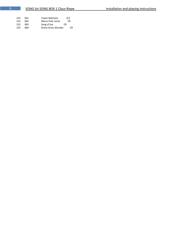| 123 | 061  | <b>Tower Ballroom</b> | SL <sub>2</sub> |
|-----|------|-----------------------|-----------------|
| 123 | 062. | Marco Polo remix      | CR              |
| 123 | 063. | Song of Joy<br>CR.    |                 |
| 123 | 064  | Green Grass Wunder.   | C.R             |